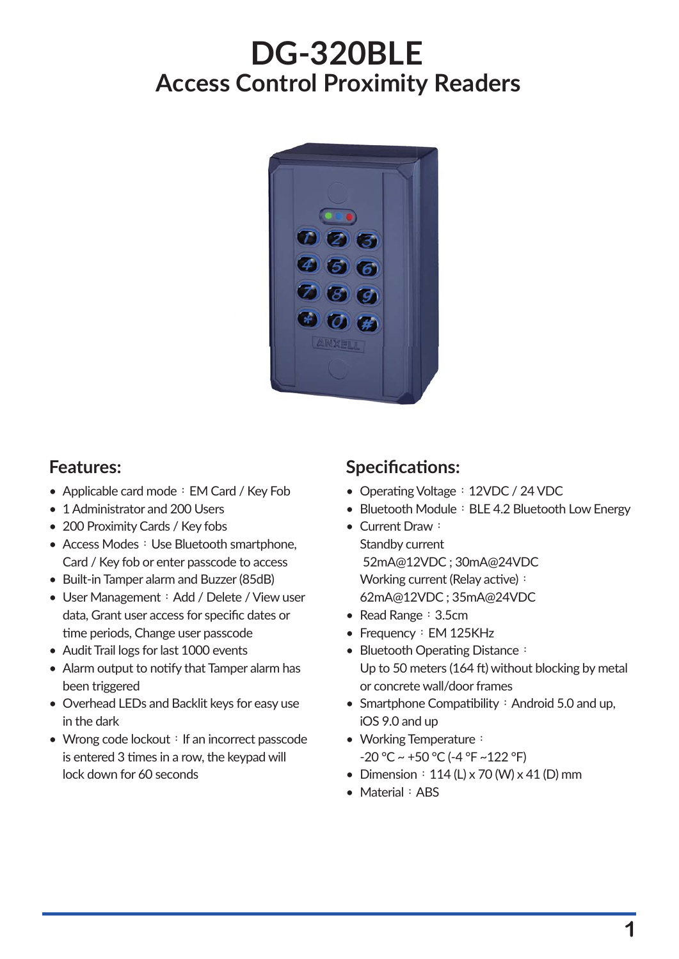# **DG-320BLE Access Control Proximity Readers**



- Applicable card mode: EM Card / Key Fob
- 1 Administrator and 200 Users
- 200 Proximity Cards / Key fobs
- Access Modes: Use Bluetooth smartphone, Card / Key fob or enter passcode to access
- Built-in Tamper alarm and Buzzer (85dB)
- User Management: Add / Delete / View user data, Grant user access for specific dates or time periods, Change user passcode
- Audit Trail logs for last 1000 events
- Alarm output to notify that Tamper alarm has been triggered
- Overhead LEDs and Backlit keys for easy use in the dark
- Wrong code lockout: If an incorrect passcode is entered 3 times in a row, the keypad will lock down for 60 seconds

# **Features: Specificaঞons:**

- Operating Voltage: 12VDC / 24 VDC
- Bluetooth Module: BLE 4.2 Bluetooth Low Energy
- Current Draw: Standby current 52mA@12VDC ; 30mA@24VDC Working current (Relay active): 62mA@12VDC ; 35mA@24VDC
- Read Range: 3.5cm
- Frequency: EM 125KHz
- Bluetooth Operating Distance: Up to 50 meters (164 ft) without blocking by metal or concrete wall/door frames
- Smartphone Compatibility: Android 5.0 and up, iOS 9.0 and up
- Working Temperature: -20 °C ~ +50 °C (-4 °F ~122 °F)
- Dimension  $: 114 (L) \times 70 (W) \times 41 (D)$  mm
- Material: ABS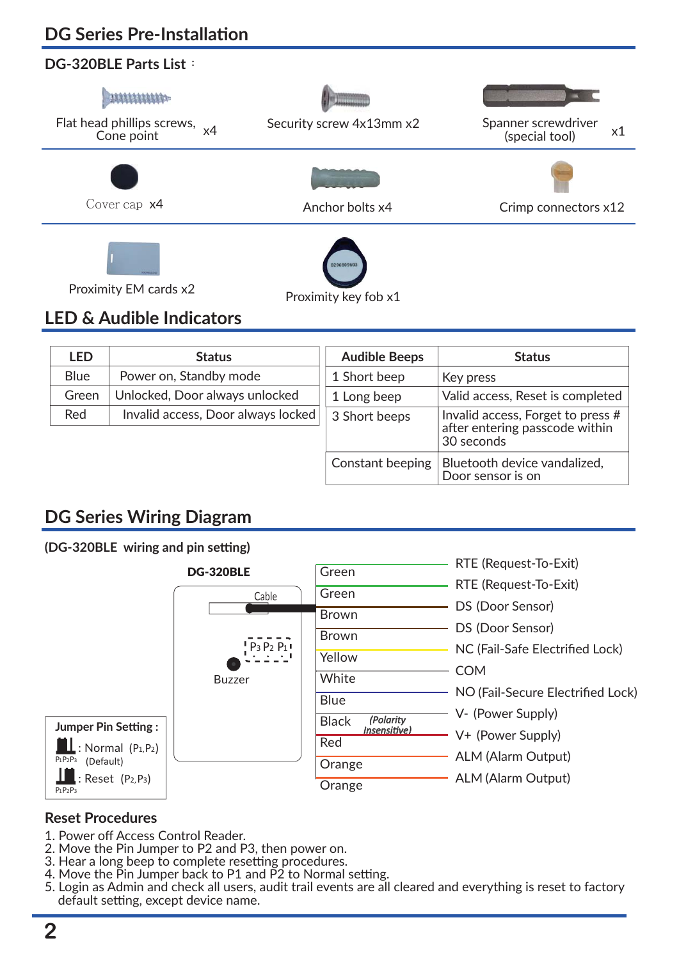# **DG Series Pre-Installaঞon**

# **DG-320BLE Parts List**:



# **LED & Audible Indicators**

| <b>LED</b>  | <b>Status</b>                      | <b>Audible Beeps</b> | <b>Status</b>                                                                     |
|-------------|------------------------------------|----------------------|-----------------------------------------------------------------------------------|
| <b>Blue</b> | Power on, Standby mode             | 1 Short beep         | Key press                                                                         |
| Green       | Unlocked, Door always unlocked     | 1 Long beep          | Valid access, Reset is completed                                                  |
| Red         | Invalid access, Door always locked | 3 Short beeps        | Invalid access, Forget to press #<br>after entering passcode within<br>30 seconds |
|             |                                    | Constant beeping     | Bluetooth device vandalized,<br>Door sensor is on                                 |

# **DG Series Wiring Diagram**

#### **(DG-320BLE wiring and pin seমng)**

|                                       | <b>DG-320BLE</b> | Green                                            | RTE (Request-To-Exit)             |
|---------------------------------------|------------------|--------------------------------------------------|-----------------------------------|
|                                       | Cable            | Green                                            | RTE (Request-To-Exit)             |
|                                       |                  | <b>Brown</b>                                     | DS (Door Sensor)                  |
|                                       |                  | <b>Brown</b>                                     | DS (Door Sensor)                  |
|                                       | $P_3 P_2 P_1$    | Yellow                                           | NC (Fail-Safe Electrified Lock)   |
|                                       |                  | White                                            | <b>COM</b>                        |
|                                       | <b>Buzzer</b>    |                                                  | NO (Fail-Secure Electrified Lock) |
|                                       |                  | <b>Blue</b>                                      | V- (Power Supply)                 |
| <b>Jumper Pin Setting:</b>            |                  | (Polarity<br><b>Black</b><br><b>Insensitive)</b> | V+ (Power Supply)                 |
| : Normal $(P_1, P_2)$                 |                  | Red                                              | <b>ALM (Alarm Output)</b>         |
| $P_1P_2P_3$<br>(Default)              |                  | Orange                                           | <b>ALM (Alarm Output)</b>         |
| $:$ Reset $(P_2, P_3)$<br>$P_1P_2P_3$ |                  | Orange                                           |                                   |

#### **Reset Procedures**

- 1. Power off Access Control Reader.
- 2. Move the Pin Jumper to P2 and P3, then power on.
- 3. Hear a long beep to complete resetting procedures.
- 4. Move the Pin Jumper back to P1 and P2 to Normal setting.
- 5. Login as Admin and check all users, audit trail events are all cleared and everything is reset to factory default setting, except device name.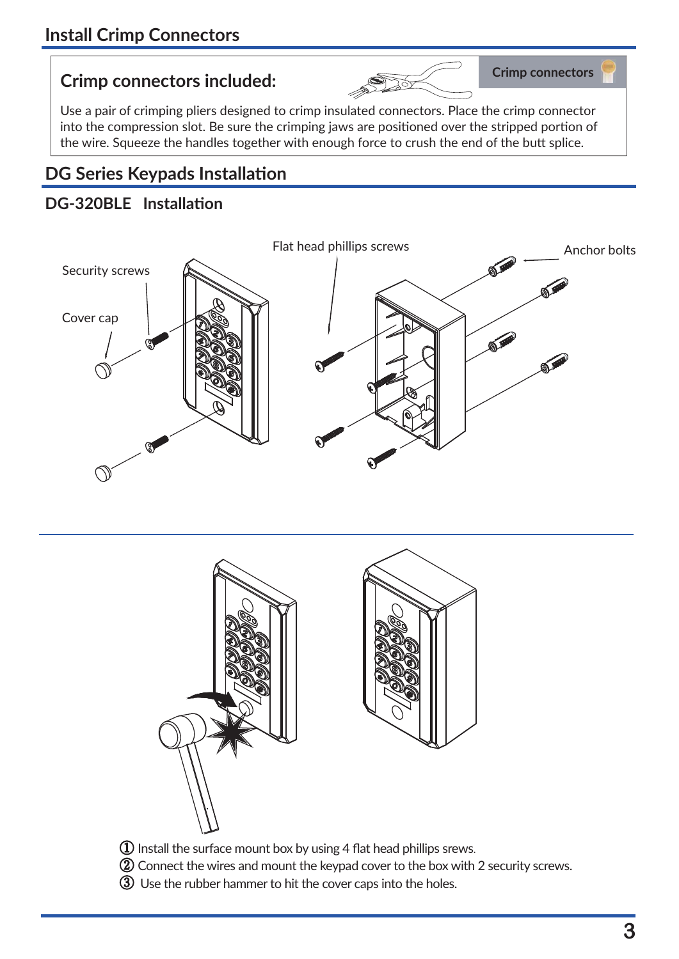# **Crimp connectors Crimp connectors included:**



Use a pair of crimping pliers designed to crimp insulated connectors. Place the crimp connector into the compression slot. Be sure the crimping jaws are positioned over the stripped portion of the wire. Squeeze the handles together with enough force to crush the end of the butt splice.

# **DG Series Keypads Installaঞon**

## **DG-320BLE Installaঞon**





- ② Connect the wires and mount the keypad cover to the box with 2 security screws.
- ③ Use the rubber hammer to hit the cover caps into the holes.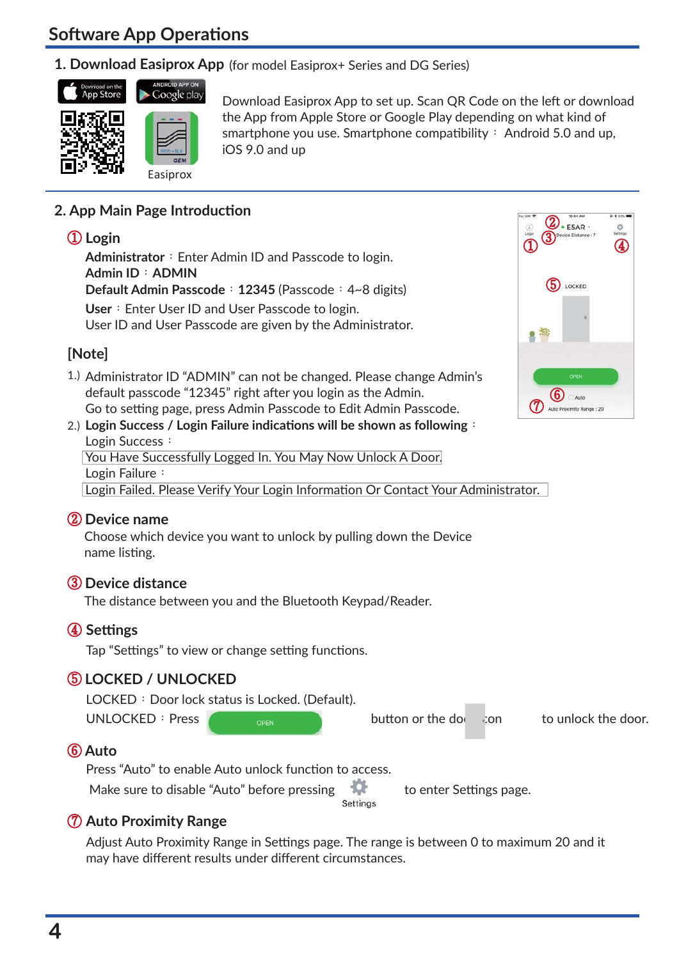# **Software App Operations**

#### **1. Download Easiprox App** (for model Easiprox+ Series and DG Series)



Download Easiprox App to set up. Scan QR Code on the left or download the App from Apple Store or Google Play depending on what kind of smartphone you use. Smartphone compatibility: Android 5.0 and up, iOS 9.0 and up

#### **2. App Main Page Introducঞon**

#### ① **Login**

Administrator: Enter Admin ID and Passcode to login. **Admin ID**:**ADMIN Default Admin Passcode**:**12345** (Passcode:4~8 digits) User: Enter User ID and User Passcode to login. User ID and User Passcode are given by the Administrator.

### **[Note]**

1.) Administrator ID "ADMIN" can not be changed. Please change Admin's default passcode "12345" right after you login as the Admin. Go to setting page, press Admin Passcode to Edit Admin Passcode.



#### **Login Success / Login Failure indicaঞons will be shown as following**: 2.) Login Success: You Have Successfully Logged In. You May Now Unlock A Door. Login Failure:

Login Failed. Please Verify Your Login Information Or Contact Your Administrator.

#### ② **Device name**

Choose which device you want to unlock by pulling down the Device name listing.

#### ③ **Device distance**

The distance between you and the Bluetooth Keypad/Reader.

#### ④ **Seমngs**

Tap "Settings" to view or change setting functions.

#### ⑤ **LOCKED / UNLOCKED**

 $LOCKED : Door lock status is Locked. (Default).$ 

UNLOCKED: Press  $\overline{O}_{\text{OPEN}}$  button or the down in to unlock the door.

#### ⑥ **Auto**

Press "Auto" to enable Auto unlock function to access.

Make sure to disable "Auto" before pressing to enter Settings page.<br>
settings

#### ⑦ **Auto Proximity Range**

Adjust Auto Proximity Range in Settings page. The range is between 0 to maximum 20 and it may have different results under different circumstances.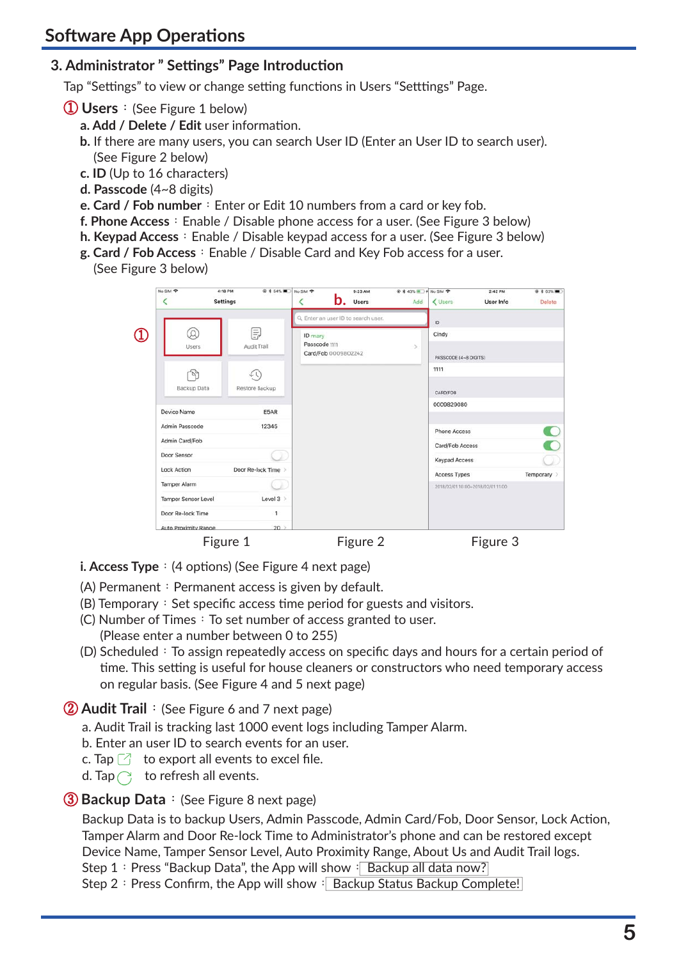### **3. Administrator " Seমngs" Page Introducঞon**

Tap "Settings" to view or change setting functions in Users "Setttings" Page.

- ① **Users**:(See Figure 1 below)
	- **a. Add / Delete / Edit** user information.
	- **b.** If there are many users, you can search User ID (Enter an User ID to search user). (See Figure 2 below)
	- **c. ID** (Up to 16 characters)
	- **d. Passcode** (4~8 digits)
	- **e. Card / Fob number**: Enter or Edit 10 numbers from a card or key fob.
	- **f. Phone Access**: Enable / Disable phone access for a user. (See Figure 3 below)
	- **h. Keypad Access**: Enable / Disable keypad access for a user. (See Figure 3 below)
	- **g. Card / Fob Access**: Enable / Disable Card and Key Fob access for a user.
	- (See Figure 3 below)

| No SIM 字<br>K        | 4:18 PM<br><b>Settings</b> | ● * 54%■ No SIM → |                          | 9:23 AM<br><b>D</b> . Users         | <b>@ * 43% ■ → No SIM や</b><br>Add | < Users               | 2:42 PM<br>User Info              | @ \$ 63%■<br>Delete |
|----------------------|----------------------------|-------------------|--------------------------|-------------------------------------|------------------------------------|-----------------------|-----------------------------------|---------------------|
|                      |                            |                   |                          | Q. Enter an user ID to search user. |                                    | ID.                   |                                   |                     |
| Q                    |                            | F)                | ID mary<br>Passcode 1111 |                                     |                                    | Cindy                 |                                   |                     |
| <b>Users</b>         |                            | Audit Trail       |                          | Card/Fob 0009802242                 | Ÿ.                                 | PASSCODE (4~8 DIGITS) |                                   |                     |
|                      |                            |                   |                          |                                     |                                    | 1111                  |                                   |                     |
| Backup Data          |                            | Restore Backup    |                          |                                     |                                    | <b>CARD/FOB</b>       |                                   |                     |
| Device Name          |                            | E5AR              |                          |                                     |                                    | 0009829080            |                                   |                     |
| Admin Passcode       |                            | 12345             |                          |                                     |                                    | <b>Phone Access</b>   |                                   | ĸ                   |
| Admin Card/Fob       |                            |                   |                          |                                     |                                    | Card/Fob Access       |                                   |                     |
| Door Sensor          |                            |                   |                          |                                     |                                    | <b>Keypad Access</b>  |                                   |                     |
| <b>Lock Action</b>   |                            | Door Re-lock Time |                          |                                     |                                    | <b>Access Types</b>   |                                   | Temporary >         |
| Tamper Alarm         |                            |                   |                          |                                     |                                    |                       | 2018/02/01 10:00+2018/02/01 11:00 |                     |
| Tamper Sensor Level  |                            | Level $3$         |                          |                                     |                                    |                       |                                   |                     |
| Door Re-lock Time    |                            | 1                 |                          |                                     |                                    |                       |                                   |                     |
| Auto Proximity Range |                            | 20                |                          |                                     |                                    |                       |                                   |                     |

- **i. Access Type**: (4 options) (See Figure 4 next page)
- (A) Permanent: Permanent access is given by default.
- $(B)$  Temporary: Set specific access time period for guests and visitors.
- (C) Number of Times: To set number of access granted to user. (Please enter a number between 0 to 255)
- (D) Scheduled: To assign repeatedly access on specific days and hours for a certain period of time. This setting is useful for house cleaners or constructors who need temporary access on regular basis. (See Figure 4 and 5 next page)

② **Audit Trail**:(See Figure 6 and 7 next page)

- a. Audit Trail is tracking last 1000 event logs including Tamper Alarm.
- b. Enter an user ID to search events for an user.
- c. Tap  $\Box$  to export all events to excel file.
- d. Tap  $\bigcap$  to refresh all events.

#### ③ **Backup Data**:(See Figure 8 next page)

Backup Data is to backup Users, Admin Passcode, Admin Card/Fob, Door Sensor, Lock Action, Tamper Alarm and Door Re-lock Time to Administrator's phone and can be restored except Device Name, Tamper Sensor Level, Auto Proximity Range, About Us and Audit Trail logs.

Step 1: Press "Backup Data", the App will show: Backup all data now?

Step 2: Press Confirm, the App will show: Backup Status Backup Complete!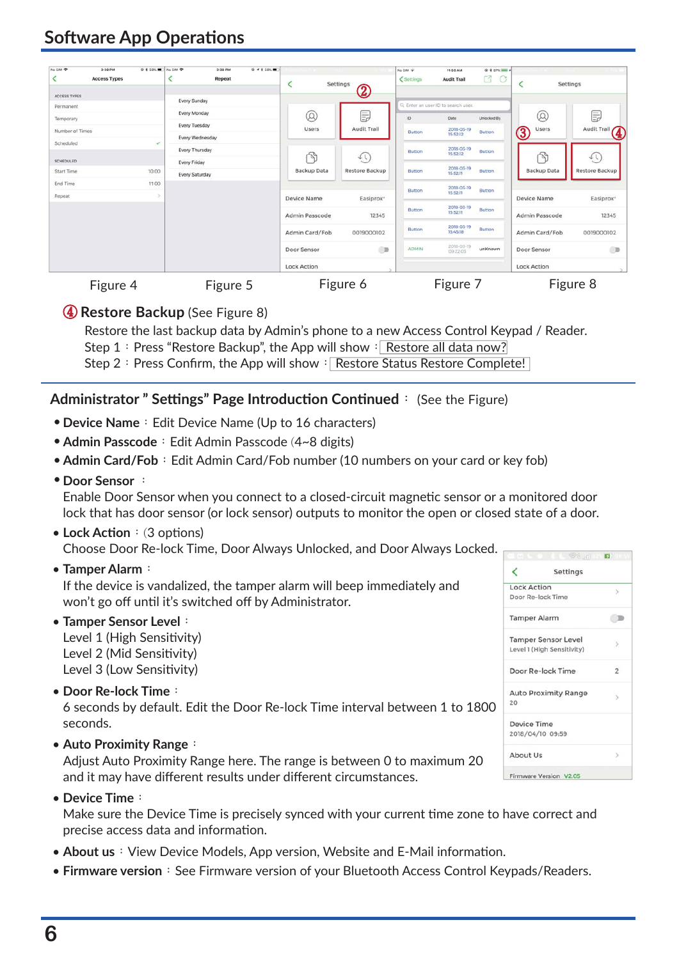# **Software App Operations**

| No SIM 字        | 3:38 PM<br><b>Access Types</b> | @ 1 58%■ No SIM ? |                 | 3:38 PM<br>Repeat | <b>₽ 1 1 58%■</b> | Settings           |                       | No SIM *<br>@ # 97% <b>WHO</b> +<br>11:50 AM<br>K<br>$\circ$<br>< Settings<br><b>Audit Trail</b> |                                     |               | Settings           |                       |
|-----------------|--------------------------------|-------------------|-----------------|-------------------|-------------------|--------------------|-----------------------|--------------------------------------------------------------------------------------------------|-------------------------------------|---------------|--------------------|-----------------------|
| ACCESS TYPES    |                                |                   | Every Sunday    |                   |                   |                    | $\circledZ$           |                                                                                                  |                                     |               |                    |                       |
| Permanent       |                                |                   |                 |                   |                   |                    |                       |                                                                                                  | Q. Enter an user ID to search user. |               |                    |                       |
| Temporary       |                                |                   | Every Monday    |                   |                   | $^{\circledR}$     | E,                    | ID.                                                                                              | Date:                               | Unlocked By   | $^{\circledR}$     | Ę                     |
| Number of Times |                                |                   | Every Tuesday   |                   |                   | <b>Users</b>       | Audit Trail           | <b>Button</b>                                                                                    | 2018-03-19                          | <b>Button</b> | <b>Users</b>       | Audit Trail           |
| Scheduled       |                                | $\checkmark$      | Every Wednesday |                   |                   |                    |                       |                                                                                                  | 15:52:12                            |               | $\bigcirc \!\! 3$  | $\bf \Phi$            |
|                 |                                |                   | Every Thursday  |                   |                   |                    |                       | <b>Button</b>                                                                                    | 2018-03-19<br>15:52:12              | <b>Button</b> |                    |                       |
| SCHEDULED       |                                |                   | Every Friday    |                   |                   | P                  | $\hat{\tau}$          |                                                                                                  |                                     |               | P                  | ŕΩ                    |
| Start Time      |                                | 10:00             | Every Saturday  |                   |                   | Backup Data        | Restore Backup        | Button                                                                                           | 2018-03-19<br>15:52:11              | <b>Button</b> | Backup Data        | Restore Backup        |
| End Time        |                                | 11:00             |                 |                   |                   |                    |                       |                                                                                                  | 2018-03-19                          | <b>Button</b> |                    |                       |
| Repeat          |                                |                   |                 |                   |                   | Device Name        | Easiprox <sup>+</sup> | Button                                                                                           | 15:52:11                            |               | Device Name        | Easiprox <sup>+</sup> |
|                 |                                |                   |                 |                   |                   | Admin Passcode     | 12345                 | Button                                                                                           | 2018-03-19<br>15:52:11              | Button        | Admin Passcode     | 12345                 |
|                 |                                |                   |                 |                   |                   | Admin Card/Fob     | 0019000102            | Button                                                                                           | 2018-03-19<br>154518                | Button        | Admin Card/Fob     | 0019000102            |
|                 |                                |                   |                 |                   |                   | Door Sensor        | <b>OD</b>             | <b>ADMIN</b>                                                                                     | 2018-03-19<br>09:22:03              | unKnown       | Door Sensor        | CD                    |
|                 |                                |                   |                 |                   |                   | <b>Lock Action</b> |                       |                                                                                                  |                                     |               | <b>Lock Action</b> |                       |

Figure 4 Figure 5 Figure 6 Figure 7 Figure 8

### ④ **Restore Backup** (See Figure 8)

Restore the last backup data by Admin's phone to a new Access Control Keypad / Reader. Step 1: Press "Restore Backup", the App will show: Restore all data now? Step 2: Press Confirm, the App will show: Restore Status Restore Complete!

#### **Administrator " Seমngs" Page Introducঞon Conঞnued**: (See the Figure)

- **Device Name**: Edit Device Name (Up to 16 characters)
- Admin Passcode: Edit Admin Passcode (4~8 digits)
- Admin Card/Fob: Edit Admin Card/Fob number (10 numbers on your card or key fob)
- **Door Sensor** :

Enable Door Sensor when you connect to a closed-circuit magnetic sensor or a monitored door lock that has door sensor (or lock sensor) outputs to monitor the open or closed state of a door.

• Lock Action: (3 options)

Choose Door Re-lock Time, Door Always Unlocked, and Door Always Locked.

**Tamper Alarm**: •

If the device is vandalized, the tamper alarm will beep immediately and won't go off until it's switched off by Administrator.

**Tamper Sensor Level**: •

Level 1 (High Sensitivity) Level 2 (Mid Sensitivity) Level 3 (Low Sensitivity)

• Door Re-lock Time:

6 seconds by default. Edit the Door Re-lock Time interval between 1 to 1800 seconds.

**Auto Proximity Range**: •

Adjust Auto Proximity Range here. The range is between 0 to maximum 20 and it may have different results under different circumstances.

**Device Time**: •

Make sure the Device Time is precisely synced with your current time zone to have correct and precise access data and information.

- About us: View Device Models, App version, Website and E-Mail information.
- **Firmware version**: See Firmware version of your Bluetooth Access Control Keypads/Readers.

|                     | $\mathbb{C}^{\mathbb{C}}$ and $\mathbb{C}^{\mathbb{C}}$ |                |
|---------------------|---------------------------------------------------------|----------------|
|                     | Settings                                                |                |
| <b>Lock Action</b>  |                                                         | 5.             |
|                     | Door Re-lock Time                                       |                |
| <b>Tamper Alarm</b> |                                                         |                |
|                     | <b>Tamper Sensor Level</b>                              | 5              |
|                     | Level 1 (High Sensitivity)                              |                |
|                     | Door Re-lock Time                                       | $\overline{2}$ |
| $20-2$              | <b>Auto Proximity Range</b>                             | $\rightarrow$  |
| Device Time         |                                                         |                |
|                     | 2018/04/10 09:59                                        |                |
| About Us            |                                                         |                |
|                     | Firmware Version V2.05                                  |                |